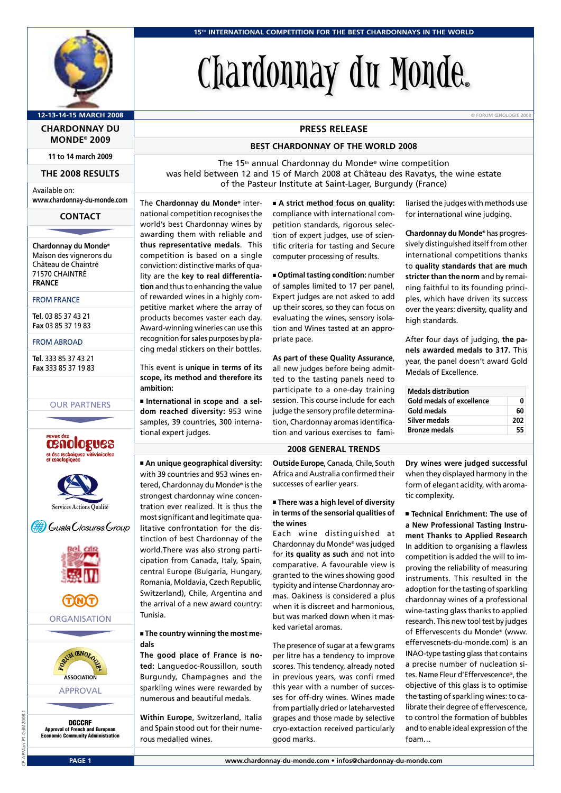

### **12-13-14-15 MARCH 2008** © FORUM ŒNOLOGIE 2008

**CHARDONNAY DU MONDE® 2009**

**11 to 14 march 2009**

#### **THE 2008 RESULTS**

Available on: **www.chardonnay-du-monde.com** THE 2008 RESULTS<br>
illable on:<br>
w.chardonnay-du-monde.com<br>
CONTACT<br>
ardonnay du Monde®

#### **CONTACT**

**Chardonnay du Monde®** Maison des vignerons du Château de Chaintré 71570 CHAINTRÉ **FRANCE**

#### FROM FRANCE

**Tel.** 03 85 37 43 21 **Fax** 03 85 37 19 83

#### FROM ABROAD

**Tel.** 333 85 37 43 21 **Fax** 333 85 37 19 83 333 85 37 43 21<br>233 85 37 19 83<br>OUR PARTNERS<br>Transition

#### OUR PARTNERS





(#) Guala Closures Group







APPROVAL

DGCCRF Approval of French and European Economic Community Administration

# Chardonnay du Monde**®**

#### **PRESS RELEASE**

#### **BEST CHARDONNAY OF THE WORLD 2008**

The 15<sup>th</sup> annual Chardonnay du Monde<sup>®</sup> wine competition was held between 12 and 15 of March 2008 at Château des Ravatys, the wine estate of the Pasteur Institute at Saint-Lager, Burgundy (France)

The **Chardonnay du Monde®** international competition recognises the world's best Chardonnay wines by awarding them with reliable and **thus representative medals**. This competition is based on a single conviction: distinctive marks of quality are the **key to real differentiation** and thus to enhancing the value of rewarded wines in a highly competitive market where the array of products becomes vaster each day. Award-winning wineries can use this recognition for sales purposes by placing medal stickers on their bottles.

This event is **unique in terms of its scope, its method and therefore its ambition:**

■ **International in scope and a seldom reached diversity:** 953 wine samples, 39 countries, 300 international expert judges.

■ **An unique geographical diversity:** with 39 countries and 953 wines entered, Chardonnay du Monde® is the strongest chardonnay wine concentration ever realized. It is thus the most significant and legitimate qualitative confrontation for the distinction of best Chardonnay of the world.There was also strong participation from Canada, Italy, Spain, central Europe (Bulgaria, Hungary, Romania, Moldavia, Czech Republic, Switzerland), Chile, Argentina and the arrival of a new award country: Tunisia.

#### ■ **The country winning the most medals**

**The good place of France is noted:** Languedoc-Roussillon, south Burgundy, Champagnes and the sparkling wines were rewarded by numerous and beautiful medals.

**Within Europe**, Switzerland, Italia and Spain stood out for their numerous medalled wines.

■ **A strict method focus on quality:** compliance with international competition standards, rigorous selection of expert judges, use of scientific criteria for tasting and Secure computer processing of results.

■ **Optimal tasting condition:** number of samples limited to 17 per panel, Expert judges are not asked to add up their scores, so they can focus on evaluating the wines, sensory isolation and Wines tasted at an appropriate pace.

**As part of these Quality Assurance**, all new judges before being admitted to the tasting panels need to participate to a one-day training session. This course include for each judge the sensory profile determination, Chardonnay aromas identification and various exercises to fami-

#### **2008 GENERAL TRENDS**

**Outside Europe**, Canada, Chile, South Africa and Australia confirmed their successes of earlier years.

#### ■ **There was a high level of diversity in terms of the sensorial qualities of the wines**

Each wine distinguished at Chardonnay du Monde® was judged for **its quality as such** and not into comparative. A favourable view is granted to the wines showing good typicity and intense Chardonnay aromas. Oakiness is considered a plus when it is discreet and harmonious but was marked down when it masked varietal aromas.

The presence of sugar at a few grams per litre has a tendency to improve scores. This tendency, already noted in previous years, was confi rmed this year with a number of successes for off-dry wines. Wines made from partially dried or lateharvested grapes and those made by selective cryo-extaction received particularly good marks.

liarised the judges with methods use for international wine judging.

**Chardonnay du Monde®** has progressively distinguished itself from other international competitions thanks to **quality standards that are much stricter than the norm** and by remaining faithful to its founding principles, which have driven its success over the years: diversity, quality and high standards.

After four days of judging, **the panels awarded medals to 317.** This year, the panel doesn't award Gold Medals of Excellence.

| <b>Medals distribution</b> |     |
|----------------------------|-----|
| Gold medals of excellence  | n   |
| Gold medals                | 60  |
| <b>Silver medals</b>       | 202 |
| <b>Bronze medals</b>       | 55  |

**Dry wines were judged successful** when they displayed harmony in the form of elegant acidity, with aromatic complexity.

■ **Technical Enrichment: The use of a New Professional Tasting Instrument Thanks to Applied Research**  In addition to organising a flawless competition is added the will to improving the reliability of measuring instruments. This resulted in the adoption for the tasting of sparkling chardonnay wines of a professional wine-tasting glass thanks to applied research. This new tool test by judges of Effervescents du Monde® (www. effervescnets-du-monde.com) is an INAO-type tasting glass that contains a precise number of nucleation sites. Name Fleur d'Effervescence®, the objective of this glass is to optimise the tasting of sparkling wines: to calibrate their degree of effervescence, to control the formation of bubbles and to enable ideal expression of the foam…